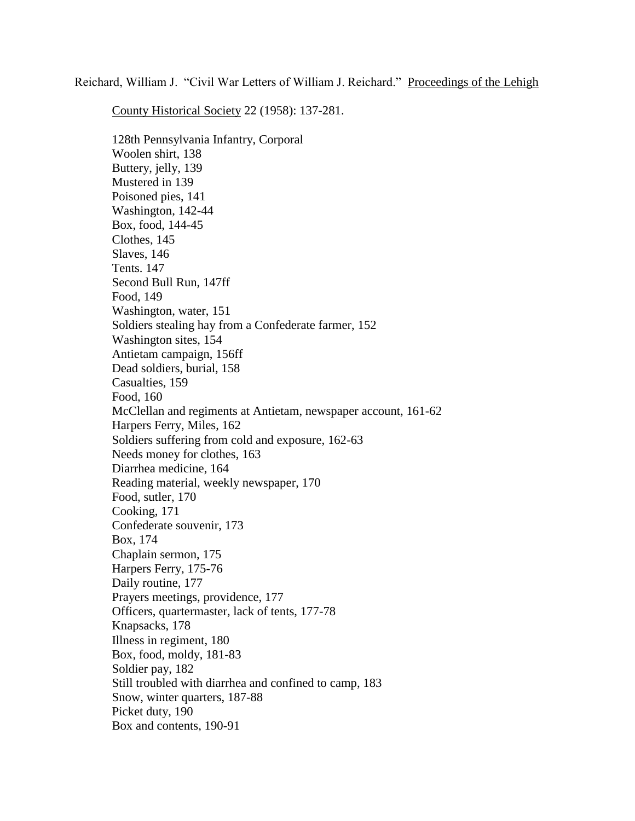Reichard, William J. "Civil War Letters of William J. Reichard." Proceedings of the Lehigh

County Historical Society 22 (1958): 137-281.

128th Pennsylvania Infantry, Corporal Woolen shirt, 138 Buttery, jelly, 139 Mustered in 139 Poisoned pies, 141 Washington, 142-44 Box, food, 144-45 Clothes, 145 Slaves, 146 Tents. 147 Second Bull Run, 147ff Food, 149 Washington, water, 151 Soldiers stealing hay from a Confederate farmer, 152 Washington sites, 154 Antietam campaign, 156ff Dead soldiers, burial, 158 Casualties, 159 Food, 160 McClellan and regiments at Antietam, newspaper account, 161-62 Harpers Ferry, Miles, 162 Soldiers suffering from cold and exposure, 162-63 Needs money for clothes, 163 Diarrhea medicine, 164 Reading material, weekly newspaper, 170 Food, sutler, 170 Cooking, 171 Confederate souvenir, 173 Box, 174 Chaplain sermon, 175 Harpers Ferry, 175-76 Daily routine, 177 Prayers meetings, providence, 177 Officers, quartermaster, lack of tents, 177-78 Knapsacks, 178 Illness in regiment, 180 Box, food, moldy, 181-83 Soldier pay, 182 Still troubled with diarrhea and confined to camp, 183 Snow, winter quarters, 187-88 Picket duty, 190 Box and contents, 190-91